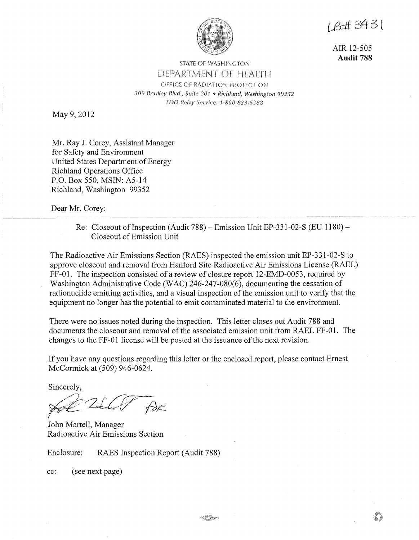

1B#3431

AIR 12-505 **Audit 788** 

## STATE OF WASHINGTON DEPARTMENT OF HEALTH OFFICE OF RADIATION PROTECTION *309 Bradley Blvd., Suite 201* " *Richland, Washington 99352*  TDD Relay Service: 1-800-833-6388

May 9, 2012

Mr. Ray J. Corey, Assistant Manager for Safety and Environment United States Department of Energy Richland Operations Office P.O. Box 550, MSIN: A5-14 Richland, Washington 99352

Dear Mr. Corey:

## Re: Closeout of Inspection (Audit 788) - Emission Unit EP-331-02-S (EU 1180) - Closeout of Emission Unit

The Radioactive Air Emissions Section (RAES) inspected the emission unit EP-331-02-S to approve closeout and removal from Hanford Site Radioactive Air Emissions License (RAEL) FF-01. The inspection consisted of a review of closure report 12-EMD-0053, required by Washington Administrative Code (WAC) 246-247-080(6), documenting the cessation of radionuclide emitting activities, and a visual inspection of the emission unit to verify that the equipment no longer has the potential to emit contaminated material to the environment.

There were no issues noted during the inspection. This letter closes out Audit 788 and documents the closeout and removal of the associated emission unit from RAEL FF-01. The changes to the FF-01 license will be posted at the issuance of the next revision.

If you have any questions regarding this letter or the enclosed report, please contact Ernest McCormick at (509) 946-0624.

Sincerely,

DE.

John Martell, Manager Radioactive Air Emissions Section

Enclosure: RAES Inspection Report (Audit 788)

cc: (see next page)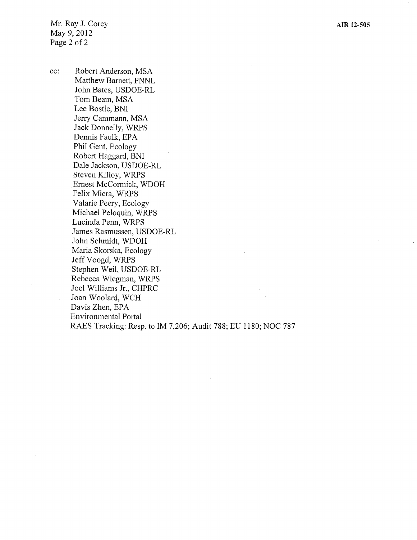Mr. Ray J. Corey May 9, 2012 Page 2 of 2

cc: Robert Anderson, MSA Matthew Barnett, PNNL John Bates, USDOE-RL Tom Beam, MSA Lee Bostic, BNI Jerry Cammann, MSA Jack Donnelly, WRPS Dennis Faulk, EPA Phil Gent, Ecology Robert Haggard, BNI Dale Jackson, USDOE-RL Steven Killoy, WRPS Ernest McCormick, WDOH Felix Miera, WRPS Valarie Peery, Ecology Michael Peloquin, WRPS Lucinda Penn, WRPS James Rasmussen, USDOE-RL John Schmidt, WDOH Maria Skorska, Ecology Jeff Voogd, WRPS Stephen Weil, USDOE-RL Rebecca Wiegman, WRPS Joel Williams Jr., CHPRC Joan Woolard, WCH Davis Zhen, EPA Environmental Portal RAES Tracking: Resp. to IM 7,206; Audit 788; EU 1180; NOC 787